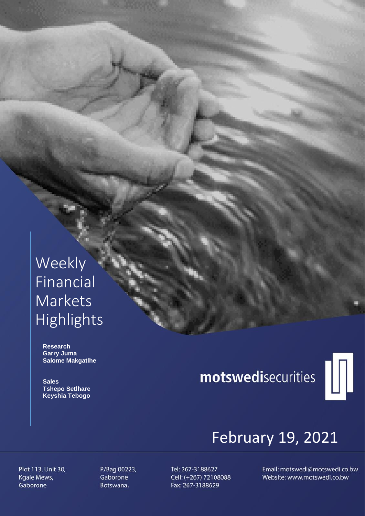# Weekly Financial **Markets** Highlights

 **Research Garry Juma Salome Makgatlhe**

 **Sales Tshepo Setlhare Keyshia Tebogo**

# motswedisecurities



# February 19, 2021

Plot 113, Unit 30, Kgale Mews, Gaborone

P/Bag 00223, Gaborone Botswana.

Tel: 267-3188627 Cell: (+267) 72108088 Fax: 267-3188629

Email: motswedi@motswedi.co.bw Website: www.motswedi.co.bw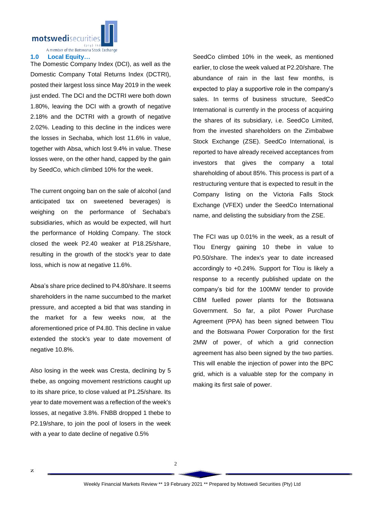motswedisecuritie

A member of the Botswana Stock Exchange

## **1.0 Local Equity…**

The Domestic Company Index (DCI), as well as the Domestic Company Total Returns Index (DCTRI), posted their largest loss since May 2019 in the week just ended. The DCI and the DCTRI were both down 1.80%, leaving the DCI with a growth of negative 2.18% and the DCTRI with a growth of negative 2.02%. Leading to this decline in the indices were the losses in Sechaba, which lost 11.6% in value, together with Absa, which lost 9.4% in value. These losses were, on the other hand, capped by the gain by SeedCo, which climbed 10% for the week.

The current ongoing ban on the sale of alcohol (and anticipated tax on sweetened beverages) is weighing on the performance of Sechaba's subsidiaries, which as would be expected, will hurt the performance of Holding Company. The stock closed the week P2.40 weaker at P18.25/share, resulting in the growth of the stock's year to date loss, which is now at negative 11.6%.

Absa's share price declined to P4.80/share. It seems shareholders in the name succumbed to the market pressure, and accepted a bid that was standing in the market for a few weeks now, at the aforementioned price of P4.80. This decline in value extended the stock's year to date movement of negative 10.8%.

Also losing in the week was Cresta, declining by 5 thebe, as ongoing movement restrictions caught up to its share price, to close valued at P1.25/share. Its year to date movement was a reflection of the week's losses, at negative 3.8%. FNBB dropped 1 thebe to P2.19/share, to join the pool of losers in the week with a year to date decline of negative 0.5%

SeedCo climbed 10% in the week, as mentioned earlier, to close the week valued at P2.20/share. The abundance of rain in the last few months, is expected to play a supportive role in the company's sales. In terms of business structure, SeedCo International is currently in the process of acquiring the shares of its subsidiary, i.e. SeedCo Limited, from the invested shareholders on the Zimbabwe Stock Exchange (ZSE). SeedCo International, is reported to have already received acceptances from investors that gives the company a total shareholding of about 85%. This process is part of a restructuring venture that is expected to result in the Company listing on the Victoria Falls Stock Exchange (VFEX) under the SeedCo International name, and delisting the subsidiary from the ZSE.

The FCI was up 0.01% in the week, as a result of Tlou Energy gaining 10 thebe in value to P0.50/share. The index's year to date increased accordingly to +0.24%. Support for Tlou is likely a response to a recently published update on the company's bid for the 100MW tender to provide CBM fuelled power plants for the Botswana Government. So far, a pilot Power Purchase Agreement (PPA) has been signed between Tlou and the Botswana Power Corporation for the first 2MW of power, of which a grid connection agreement has also been signed by the two parties. This will enable the injection of power into the BPC grid, which is a valuable step for the company in making its first sale of power.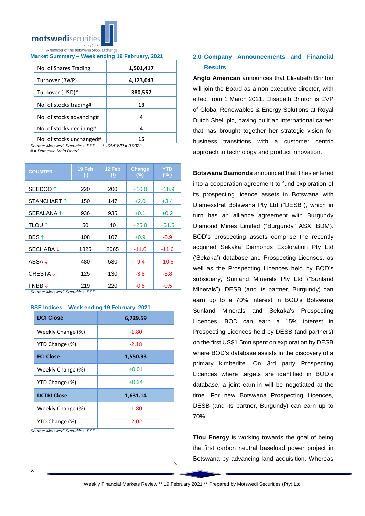

# **Market Summary – Week ending 19 February, 2021**

| No. of Shares Trading    | 1,501,417 |
|--------------------------|-----------|
| Turnover (BWP)           | 4,123,043 |
| Turnover (USD)*          | 380,557   |
| No. of stocks trading#   | 13        |
| No. of stocks advancing# | 4         |
| No. of stocks declining# | 4         |
| No of stocks unchanged#  |           |

NO. Of StOCKS unchanged# | 1:<br>rce: Motswedi Securities. BSE \*US\$/BWP = 0.0923  $Source: Motswedi$  Securities, BSE

*# = Domestic Main Board*

| <b>COUNTER</b>          | 19 Feb<br>(t) | 12 Feb<br>(t) | Change<br>$(\%)$ | YTD<br>$(\% )$ |
|-------------------------|---------------|---------------|------------------|----------------|
| SEEDCO <sup>1</sup>     | 220           | 200           | $+10.0$          | $+18.9$        |
| STANCHART 1             | 150           | 147           | $+2.0$           | $+3.4$         |
| SEFALANA 1              | 936           | 935           | $+0.1$           | $+0.2$         |
| <b>TLOU</b> ↑           | 50            | 40            | $+25.0$          | $+51.5$        |
| <b>BBS</b> <sup>↑</sup> | 108           | 107           | $+0.9$           | $-0.9$         |
| <b>SECHABA ↓</b>        | 1825          | 2065          | $-11.6$          | $-11.6$        |
| ABSA ↓                  | 480           | 530           | $-9.4$           | $-10.8$        |
| <b>CRESTA↓</b>          | 125           | 130           | $-3.8$           | $-3.8$         |
| $FNBB \downarrow$       | 219           | 220           | $-0.5$           | $-0.5$         |

*Source: Motswedi Securities, BSE* 

## **BSE Indices – Week ending 19 February, 2021**

| <b>DCI Close</b>   | 6,729.59 |
|--------------------|----------|
| Weekly Change (%)  | $-1.80$  |
| YTD Change (%)     | $-2.18$  |
| <b>FCI Close</b>   | 1,550.93 |
| Weekly Change (%)  | $+0.01$  |
| YTD Change (%)     | $+0.24$  |
| <b>DCTRI Close</b> | 1,631.14 |
| Weekly Change (%)  | $-1.80$  |
| YTD Change (%)     | -2.02    |

*Source: Motswedi Securities, BSE*

# **2.0 Company Announcements and Financial Results**

**Anglo American** announces that Elisabeth Brinton will join the Board as a non-executive director, with effect from 1 March 2021. Elisabeth Brinton is EVP of Global Renewables & Energy Solutions at Royal Dutch Shell plc, having built an international career that has brought together her strategic vision for business transitions with a customer centric approach to technology and product innovation.

**Botswana Diamonds** announced that it has entered into a cooperation agreement to fund exploration of its prospecting licence assets in Botswana with Diamexstrat Botswana Pty Ltd ("DESB"), which in turn has an alliance agreement with Burgundy Diamond Mines Limited ("Burgundy" ASX: BDM). BOD's prospecting assets comprise the recently acquired Sekaka Diamonds Exploration Pty Ltd ('Sekaka') database and Prospecting Licenses, as well as the Prospecting Licences held by BOD's subsidiary, Sunland Minerals Pty Ltd ("Sunland Minerals"). DESB (and its partner, Burgundy) can earn up to a 70% interest in BOD's Botswana Sunland Minerals and Sekaka's Prospecting Licences. BOD can earn a 15% interest in Prospecting Licences held by DESB (and partners) on the first US\$1.5mn spent on exploration by DESB where BOD's database assists in the discovery of a primary kimberlite. On 3rd party Prospecting Licences where targets are identified in BOD's database, a joint earn-in will be negotiated at the time. For new Botswana Prospecting Licences, DESB (and its partner, Burgundy) can earn up to 70%.

**Tlou Energy** is working towards the goal of being the first carbon neutral baseload power project in Botswana by advancing land acquisition. Whereas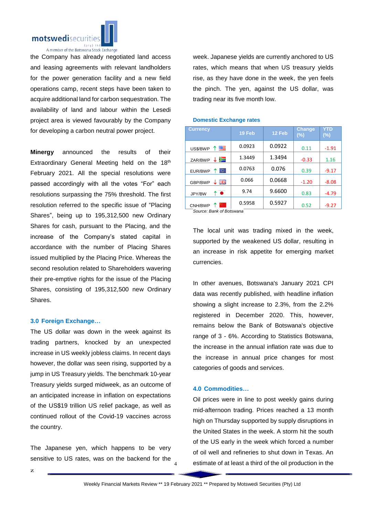

the Company has already negotiated land access and leasing agreements with relevant landholders for the power generation facility and a new field operations camp, recent steps have been taken to acquire additional land for carbon sequestration. The availability of land and labour within the Lesedi project area is viewed favourably by the Company for developing a carbon neutral power project.

**Minergy** announced the results of their Extraordinary General Meeting held on the 18th February 2021. All the special resolutions were passed accordingly with all the votes "For" each resolutions surpassing the 75% threshold. The first resolution referred to the specific issue of "Placing Shares", being up to 195,312,500 new Ordinary Shares for cash, pursuant to the Placing, and the increase of the Company's stated capital in accordance with the number of Placing Shares issued multiplied by the Placing Price. Whereas the second resolution related to Shareholders wavering their pre-emptive rights for the issue of the Placing Shares, consisting of 195,312,500 new Ordinary Shares.

## **3.0 Foreign Exchange…**

The US dollar was down in the week against its trading partners, knocked by an unexpected increase in US weekly jobless claims. In recent days however, the dollar was seen rising, supported by a jump in US Treasury yields. The benchmark 10-year Treasury yields surged midweek, as an outcome of an anticipated increase in inflation on expectations of the US\$19 trillion US relief package, as well as continued rollout of the Covid-19 vaccines across the country.

The Japanese yen, which happens to be very sensitive to US rates, was on the backend for the week. Japanese yields are currently anchored to US rates, which means that when US treasury yields rise, as they have done in the week, the yen feels the pinch. The yen, against the US dollar, was trading near its five month low.

| <b>Currency</b>             | 19 Feb | 12 Feb | <b>Change</b><br>$(\%)$ | YTD<br>$(\%)$ |
|-----------------------------|--------|--------|-------------------------|---------------|
| 四<br>$\uparrow$<br>US\$/BWP | 0.0923 | 0.0922 | 0.11                    | $-1.91$       |
| ≋<br>ZAR/BWP                | 1.3449 | 1.3494 | $-0.33$                 | 1.16          |
| Ю<br>EUR/BWP                | 0.0763 | 0.076  | 0.39                    | $-9.17$       |
| 릙뚡<br>GBP/BWP               | 0.066  | 0.0668 | $-1.20$                 | $-8.08$       |
| ↑●<br>JPY/BW                | 9.74   | 9.6600 | 0.83                    | $-4.79$       |
| CNH/BWP                     | 0.5958 | 0.5927 | 0.52                    | $-9.27$       |

## **Domestic Exchange rates**

*Source: Bank of Botswana*

The local unit was trading mixed in the week, supported by the weakened US dollar, resulting in an increase in risk appetite for emerging market currencies.

In other avenues, Botswana's January 2021 CPI data was recently published, with headline inflation showing a slight increase to 2.3%, from the 2.2% registered in December 2020. This, however, remains below the Bank of Botswana's objective range of 3 - 6%. According to Statistics Botswana, the increase in the annual inflation rate was due to the increase in annual price changes for most categories of goods and services.

# **4.0 Commodities…**

Oil prices were in line to post weekly gains during mid-afternoon trading. Prices reached a 13 month high on Thursday supported by supply disruptions in the United States in the week. A storm hit the south of the US early in the week which forced a number of oil well and refineries to shut down in Texas. An estimate of at least a third of the oil production in the

4